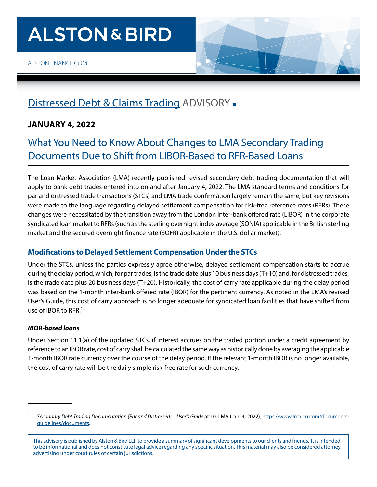# **ALSTON & BIRD**



# [Distressed Debt & Claims Trading](https://www.alston.com/en/services/practices/corporate--finance/finance/distressed-debt-claims-trading) ADVISORY .

## **JANUARY 4, 2022**

# What You Need to Know About Changes to LMA Secondary Trading Documents Due to Shift from LIBOR-Based to RFR-Based Loans

The Loan Market Association (LMA) recently published revised secondary debt trading documentation that will apply to bank debt trades entered into on and after January 4, 2022. The LMA standard terms and conditions for par and distressed trade transactions (STCs) and LMA trade confirmation largely remain the same, but key revisions were made to the language regarding delayed settlement compensation for risk-free reference rates (RFRs). These changes were necessitated by the transition away from the London inter-bank offered rate (LIBOR) in the corporate syndicated loan market to RFRs (such as the sterling overnight index average (SONIA) applicable in the British sterling market and the secured overnight finance rate (SOFR) applicable in the U.S. dollar market).

### **Modifications to Delayed Settlement Compensation Under the STCs**

Under the STCs, unless the parties expressly agree otherwise, delayed settlement compensation starts to accrue during the delay period, which, for par trades, is the trade date plus 10 business days (T+10) and, for distressed trades, is the trade date plus 20 business days (T+20). Historically, the cost of carry rate applicable during the delay period was based on the 1-month inter-bank offered rate (IBOR) for the pertinent currency. As noted in the LMA's revised User's Guide, this cost of carry approach is no longer adequate for syndicated loan facilities that have shifted from use of IBOR to  $RFR<sup>1</sup>$ 

### *IBOR-based loans*

Under Section 11.1(a) of the updated STCs, if interest accrues on the traded portion under a credit agreement by reference to an IBOR rate, cost of carry shall be calculated the same way as historically done by averaging the applicable 1-month IBOR rate currency over the course of the delay period. If the relevant 1-month IBOR is no longer available, the cost of carry rate will be the daily simple risk-free rate for such currency.

<sup>1</sup> *Secondary Debt Trading Documentation (Par and Distressed) – User's Guide* at 10, LMA (Jan. 4, 2022), [https://www.lma.eu.com/documents](https://www.lma.eu.com/documents-guidelines/documents)[guidelines/documents.](https://www.lma.eu.com/documents-guidelines/documents)

This advisory is published by Alston & Bird LLP to provide a summary of significant developments to our clients and friends. It is intended to be informational and does not constitute legal advice regarding any specific situation. This material may also be considered attorney advertising under court rules of certain jurisdictions.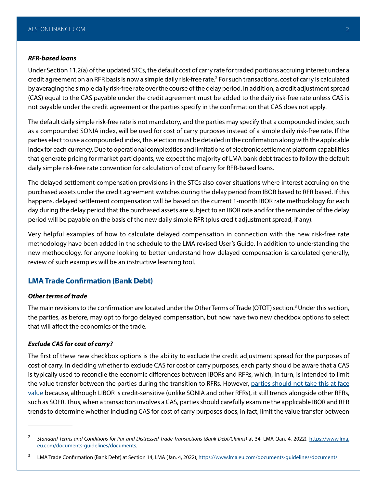#### *RFR-based loans*

Under Section 11.2(a) of the updated STCs, the default cost of carry rate for traded portions accruing interest under a credit agreement on an RFR basis is now a simple daily risk-free rate.<sup>2</sup> For such transactions, cost of carry is calculated by averaging the simple daily risk-free rate over the course of the delay period. In addition, a credit adjustment spread (CAS) equal to the CAS payable under the credit agreement must be added to the daily risk-free rate unless CAS is not payable under the credit agreement or the parties specify in the confirmation that CAS does not apply.

The default daily simple risk-free rate is not mandatory, and the parties may specify that a compounded index, such as a compounded SONIA index, will be used for cost of carry purposes instead of a simple daily risk-free rate. If the parties elect to use a compounded index, this election must be detailed in the confirmation along with the applicable index for each currency. Due to operational complexities and limitations of electronic settlement platform capabilities that generate pricing for market participants, we expect the majority of LMA bank debt trades to follow the default daily simple risk-free rate convention for calculation of cost of carry for RFR-based loans.

The delayed settlement compensation provisions in the STCs also cover situations where interest accruing on the purchased assets under the credit agreement switches during the delay period from IBOR based to RFR based. If this happens, delayed settlement compensation will be based on the current 1-month IBOR rate methodology for each day during the delay period that the purchased assets are subject to an IBOR rate and for the remainder of the delay period will be payable on the basis of the new daily simple RFR (plus credit adjustment spread, if any).

Very helpful examples of how to calculate delayed compensation in connection with the new risk-free rate methodology have been added in the schedule to the LMA revised User's Guide. In addition to understanding the new methodology, for anyone looking to better understand how delayed compensation is calculated generally, review of such examples will be an instructive learning tool.

### **LMA Trade Confirmation (Bank Debt)**

#### *Other terms of trade*

The main revisions to the confirmation are located under the Other Terms of Trade (OTOT) section.<sup>3</sup> Under this section, the parties, as before, may opt to forgo delayed compensation, but now have two new checkbox options to select that will affect the economics of the trade.

#### *Exclude CAS for cost of carry?*

The first of these new checkbox options is the ability to exclude the credit adjustment spread for the purposes of cost of carry. In deciding whether to exclude CAS for cost of carry purposes, each party should be aware that a CAS is typically used to reconcile the economic differences between IBORs and RFRs, which, in turn, is intended to limit the value transfer between the parties during the transition to RFRs. However, parties should not take this at face [value](https://www.lsta.org/content/in-search-of-fair-spread-adjustments-for-new-sofr-loans/) because, although LIBOR is credit-sensitive (unlike SONIA and other RFRs), it still trends alongside other RFRs, such as SOFR. Thus, when a transaction involves a CAS, parties should carefully examine the applicable IBOR and RFR trends to determine whether including CAS for cost of carry purposes does, in fact, limit the value transfer between

<sup>&</sup>lt;sup>2</sup> Standard Terms and Conditions for Par and Distressed Trade Transactions (Bank Debt/Claims) at 34, LMA (Jan. 4, 2022), [https://www.lma.](https://www.lma.eu.com/documents-guidelines/documents) [eu.com/documents-guidelines/documents](https://www.lma.eu.com/documents-guidelines/documents).

<sup>&</sup>lt;sup>3</sup> LMA Trade Confirmation (Bank Debt) at Section 14, LMA (Jan. 4, 2022), <https://www.lma.eu.com/documents-guidelines/documents>.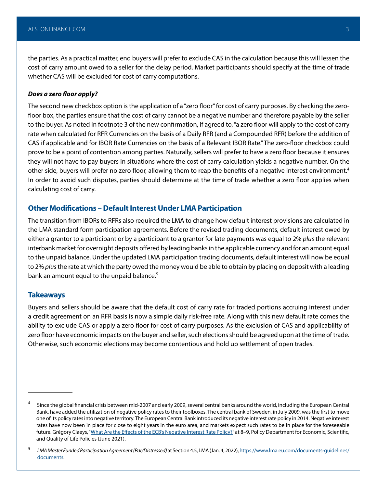the parties. As a practical matter, end buyers will prefer to exclude CAS in the calculation because this will lessen the cost of carry amount owed to a seller for the delay period. Market participants should specify at the time of trade whether CAS will be excluded for cost of carry computations.

#### *Does a zero floor apply?*

The second new checkbox option is the application of a "zero floor" for cost of carry purposes. By checking the zerofloor box, the parties ensure that the cost of carry cannot be a negative number and therefore payable by the seller to the buyer. As noted in footnote 3 of the new confirmation, if agreed to, "a zero floor will apply to the cost of carry rate when calculated for RFR Currencies on the basis of a Daily RFR (and a Compounded RFR) before the addition of CAS if applicable and for IBOR Rate Currencies on the basis of a Relevant IBOR Rate." The zero-floor checkbox could prove to be a point of contention among parties. Naturally, sellers will prefer to have a zero floor because it ensures they will not have to pay buyers in situations where the cost of carry calculation yields a negative number. On the other side, buyers will prefer no zero floor, allowing them to reap the benefits of a negative interest environment.<sup>4</sup> In order to avoid such disputes, parties should determine at the time of trade whether a zero floor applies when calculating cost of carry.

#### **Other Modifications – Default Interest Under LMA Participation**

The transition from IBORs to RFRs also required the LMA to change how default interest provisions are calculated in the LMA standard form participation agreements. Before the revised trading documents, default interest owed by either a grantor to a participant or by a participant to a grantor for late payments was equal to 2% *plus* the relevant interbank market for overnight deposits offered by leading banks in the applicable currency and for an amount equal to the unpaid balance. Under the updated LMA participation trading documents, default interest will now be equal to 2% *plus* the rate at which the party owed the money would be able to obtain by placing on deposit with a leading bank an amount equal to the unpaid balance.<sup>5</sup>

#### **Takeaways**

Buyers and sellers should be aware that the default cost of carry rate for traded portions accruing interest under a credit agreement on an RFR basis is now a simple daily risk-free rate. Along with this new default rate comes the ability to exclude CAS or apply a zero floor for cost of carry purposes. As the exclusion of CAS and applicability of zero floor have economic impacts on the buyer and seller, such elections should be agreed upon at the time of trade. Otherwise, such economic elections may become contentious and hold up settlement of open trades.

<sup>4</sup> Since the global financial crisis between mid-2007 and early 2009, several central banks around the world, including the European Central Bank, have added the utilization of negative policy rates to their toolboxes. The central bank of Sweden, in July 2009, was the first to move one of its policy rates into negative territory. The European Central Bank introduced its negative interest rate policy in 2014. Negative interest rates have now been in place for close to eight years in the euro area, and markets expect such rates to be in place for the foreseeable future. Grégory Claeys, "[What Are the Effects of the ECB's Negative Interest Rate Policy?"](https://www.europarl.europa.eu/cmsdata/235691/02.%20BRUEGEL_formatted.pdf) at 8-9, Policy Department for Economic, Scientific, and Quality of Life Policies (June 2021).

<sup>5</sup> *LMA Master Funded Participation Agreement (Par/Distressed)* at Section 4.5, LMA (Jan. 4, 2022), [https://www.lma.eu.com/documents-guidelines/](https://www.lma.eu.com/documents-guidelines/documents) [documents.](https://www.lma.eu.com/documents-guidelines/documents)